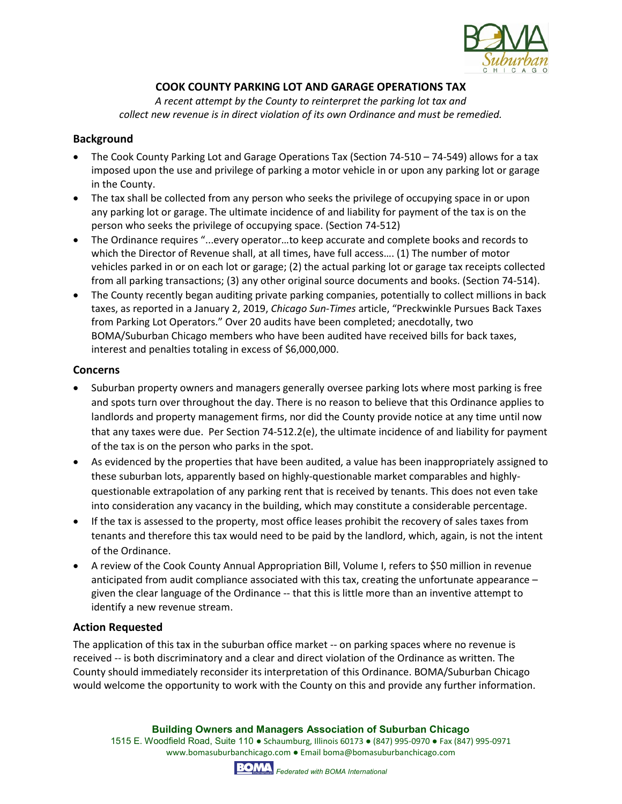

# **COOK COUNTY PARKING LOT AND GARAGE OPERATIONS TAX**

*A recent attempt by the County to reinterpret the parking lot tax and collect new revenue is in direct violation of its own Ordinance and must be remedied.*

### **Background**

- The Cook County Parking Lot and Garage Operations Tax (Section 74-510 74-549) allows for a tax imposed upon the use and privilege of parking a motor vehicle in or upon any parking lot or garage in the County.
- The tax shall be collected from any person who seeks the privilege of occupying space in or upon any parking lot or garage. The ultimate incidence of and liability for payment of the tax is on the person who seeks the privilege of occupying space. (Section 74-512)
- The Ordinance requires "...every operator…to keep accurate and complete books and records to which the Director of Revenue shall, at all times, have full access.... (1) The number of motor vehicles parked in or on each lot or garage; (2) the actual parking lot or garage tax receipts collected from all parking transactions; (3) any other original source documents and books. (Section 74-514).
- The County recently began auditing private parking companies, potentially to collect millions in back taxes, as reported in a January 2, 2019, *Chicago Sun-Times* article, "Preckwinkle Pursues Back Taxes from Parking Lot Operators." Over 20 audits have been completed; anecdotally, two BOMA/Suburban Chicago members who have been audited have received bills for back taxes, interest and penalties totaling in excess of \$6,000,000.

#### **Concerns**

- Suburban property owners and managers generally oversee parking lots where most parking is free and spots turn over throughout the day. There is no reason to believe that this Ordinance applies to landlords and property management firms, nor did the County provide notice at any time until now that any taxes were due. Per Section 74-512.2(e), the ultimate incidence of and liability for payment of the tax is on the person who parks in the spot.
- As evidenced by the properties that have been audited, a value has been inappropriately assigned to these suburban lots, apparently based on highly-questionable market comparables and highlyquestionable extrapolation of any parking rent that is received by tenants. This does not even take into consideration any vacancy in the building, which may constitute a considerable percentage.
- If the tax is assessed to the property, most office leases prohibit the recovery of sales taxes from tenants and therefore this tax would need to be paid by the landlord, which, again, is not the intent of the Ordinance.
- A review of the Cook County Annual Appropriation Bill, Volume I, refers to \$50 million in revenue anticipated from audit compliance associated with this tax, creating the unfortunate appearance – given the clear language of the Ordinance -- that this is little more than an inventive attempt to identify a new revenue stream.

## **Action Requested**

The application of this tax in the suburban office market -- on parking spaces where no revenue is received -- is both discriminatory and a clear and direct violation of the Ordinance as written. The County should immediately reconsider its interpretation of this Ordinance. BOMA/Suburban Chicago would welcome the opportunity to work with the County on this and provide any further information.

**Building Owners and Managers Association of Suburban Chicago**

1515 E. Woodfield Road, Suite 110 ● Schaumburg, Illinois 60173 ● (847) 995-0970 ● Fax (847) 995-0971 www.bomasuburbanchicago.com ● Email boma@bomasuburbanchicago.com

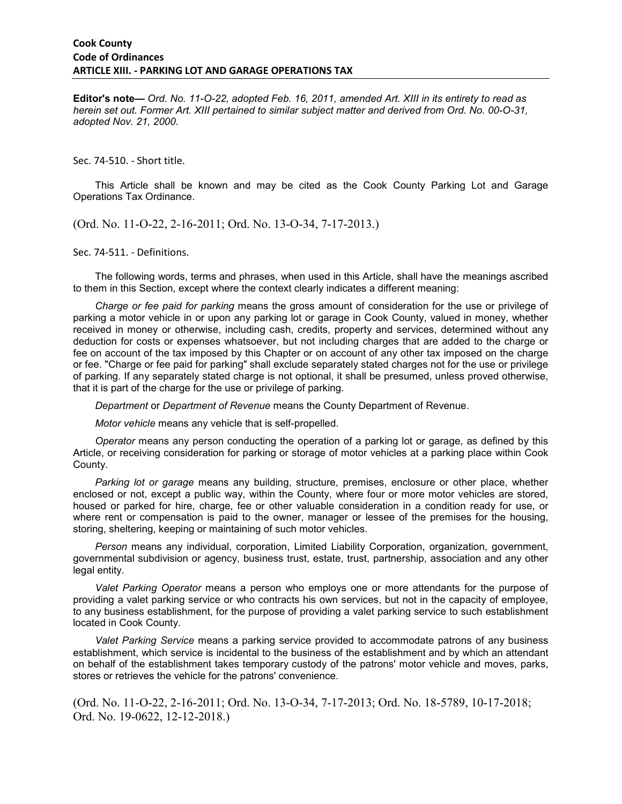**Editor's note—** *Ord. No. 11-O-22, adopted Feb. 16, 2011, amended Art. XIII in its entirety to read as herein set out. Former Art. XIII pertained to similar subject matter and derived from Ord. No. 00-O-31, adopted Nov. 21, 2000.* 

Sec. 74-510. - Short title.

This Article shall be known and may be cited as the Cook County Parking Lot and Garage Operations Tax Ordinance.

(Ord. No. 11-O-22, 2-16-2011; Ord. No. 13-O-34, 7-17-2013.)

Sec. 74-511. - Definitions.

The following words, terms and phrases, when used in this Article, shall have the meanings ascribed to them in this Section, except where the context clearly indicates a different meaning:

*Charge or fee paid for parking* means the gross amount of consideration for the use or privilege of parking a motor vehicle in or upon any parking lot or garage in Cook County, valued in money, whether received in money or otherwise, including cash, credits, property and services, determined without any deduction for costs or expenses whatsoever, but not including charges that are added to the charge or fee on account of the tax imposed by this Chapter or on account of any other tax imposed on the charge or fee. "Charge or fee paid for parking" shall exclude separately stated charges not for the use or privilege of parking. If any separately stated charge is not optional, it shall be presumed, unless proved otherwise, that it is part of the charge for the use or privilege of parking.

*Department* or *Department of Revenue* means the County Department of Revenue.

*Motor vehicle* means any vehicle that is self-propelled.

*Operator* means any person conducting the operation of a parking lot or garage, as defined by this Article, or receiving consideration for parking or storage of motor vehicles at a parking place within Cook County.

*Parking lot or garage* means any building, structure, premises, enclosure or other place, whether enclosed or not, except a public way, within the County, where four or more motor vehicles are stored, housed or parked for hire, charge, fee or other valuable consideration in a condition ready for use, or where rent or compensation is paid to the owner, manager or lessee of the premises for the housing, storing, sheltering, keeping or maintaining of such motor vehicles.

*Person* means any individual, corporation, Limited Liability Corporation, organization, government, governmental subdivision or agency, business trust, estate, trust, partnership, association and any other legal entity.

*Valet Parking Operator* means a person who employs one or more attendants for the purpose of providing a valet parking service or who contracts his own services, but not in the capacity of employee, to any business establishment, for the purpose of providing a valet parking service to such establishment located in Cook County.

*Valet Parking Service* means a parking service provided to accommodate patrons of any business establishment, which service is incidental to the business of the establishment and by which an attendant on behalf of the establishment takes temporary custody of the patrons' motor vehicle and moves, parks, stores or retrieves the vehicle for the patrons' convenience.

(Ord. No. 11-O-22, 2-16-2011; Ord. No. 13-O-34, 7-17-2013; Ord. No. 18-5789, 10-17-2018; Ord. No. 19-0622, 12-12-2018.)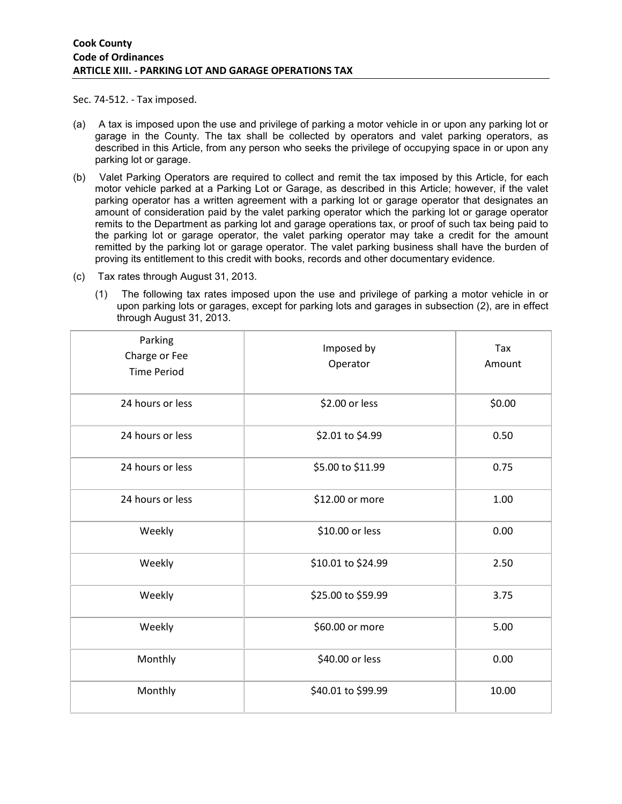Sec. 74-512. - Tax imposed.

- (a) A tax is imposed upon the use and privilege of parking a motor vehicle in or upon any parking lot or garage in the County. The tax shall be collected by operators and valet parking operators, as described in this Article, from any person who seeks the privilege of occupying space in or upon any parking lot or garage.
- (b) Valet Parking Operators are required to collect and remit the tax imposed by this Article, for each motor vehicle parked at a Parking Lot or Garage, as described in this Article; however, if the valet parking operator has a written agreement with a parking lot or garage operator that designates an amount of consideration paid by the valet parking operator which the parking lot or garage operator remits to the Department as parking lot and garage operations tax, or proof of such tax being paid to the parking lot or garage operator, the valet parking operator may take a credit for the amount remitted by the parking lot or garage operator. The valet parking business shall have the burden of proving its entitlement to this credit with books, records and other documentary evidence.
- (c) Tax rates through August 31, 2013.
	- (1) The following tax rates imposed upon the use and privilege of parking a motor vehicle in or upon parking lots or garages, except for parking lots and garages in subsection (2), are in effect through August 31, 2013.

| Parking<br>Charge or Fee<br><b>Time Period</b> | Imposed by<br>Operator | Tax<br>Amount |
|------------------------------------------------|------------------------|---------------|
| 24 hours or less                               | \$2.00 or less         | \$0.00        |
| 24 hours or less                               | \$2.01 to \$4.99       | 0.50          |
| 24 hours or less                               | \$5.00 to \$11.99      | 0.75          |
| 24 hours or less                               | \$12.00 or more        | 1.00          |
| Weekly                                         | \$10.00 or less        | 0.00          |
| Weekly                                         | \$10.01 to \$24.99     | 2.50          |
| Weekly                                         | \$25.00 to \$59.99     | 3.75          |
| Weekly                                         | \$60.00 or more        | 5.00          |
| Monthly                                        | \$40.00 or less        | 0.00          |
| Monthly                                        | \$40.01 to \$99.99     | 10.00         |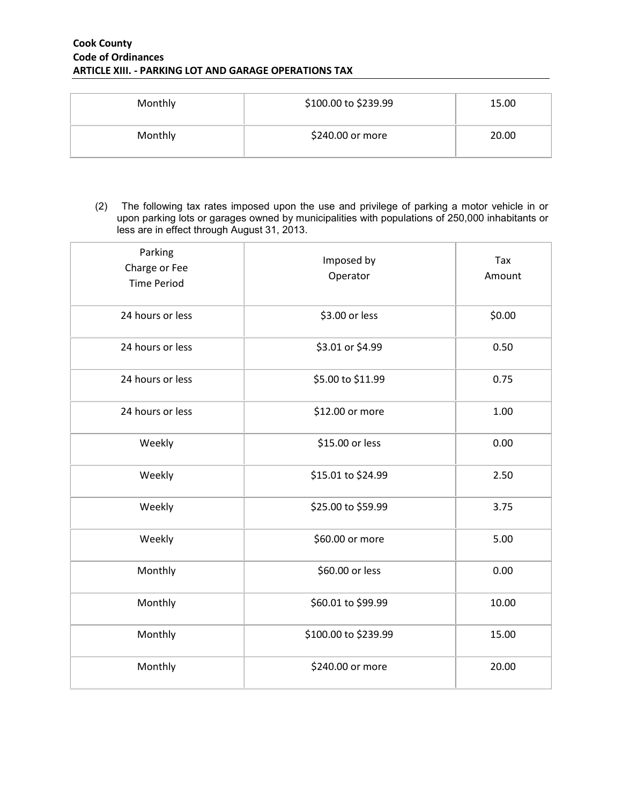#### **Cook County Code of Ordinances ARTICLE XIII. - PARKING LOT AND GARAGE OPERATIONS TAX**

| Monthly | \$100.00 to \$239.99 | 15.00 |
|---------|----------------------|-------|
| Monthly | \$240.00 or more     | 20.00 |

(2) The following tax rates imposed upon the use and privilege of parking a motor vehicle in or upon parking lots or garages owned by municipalities with populations of 250,000 inhabitants or less are in effect through August 31, 2013.

| Parking<br>Charge or Fee<br><b>Time Period</b> | Imposed by<br>Operator | Tax<br>Amount |
|------------------------------------------------|------------------------|---------------|
| 24 hours or less                               | \$3.00 or less         | \$0.00        |
| 24 hours or less                               | \$3.01 or \$4.99       | 0.50          |
| 24 hours or less                               | \$5.00 to \$11.99      | 0.75          |
| 24 hours or less                               | \$12.00 or more        | 1.00          |
| Weekly                                         | \$15.00 or less        | 0.00          |
| Weekly                                         | \$15.01 to \$24.99     | 2.50          |
| Weekly                                         | \$25.00 to \$59.99     | 3.75          |
| Weekly                                         | \$60.00 or more        | 5.00          |
| Monthly                                        | \$60.00 or less        | 0.00          |
| Monthly                                        | \$60.01 to \$99.99     | 10.00         |
| Monthly                                        | \$100.00 to \$239.99   | 15.00         |
| Monthly                                        | \$240.00 or more       | 20.00         |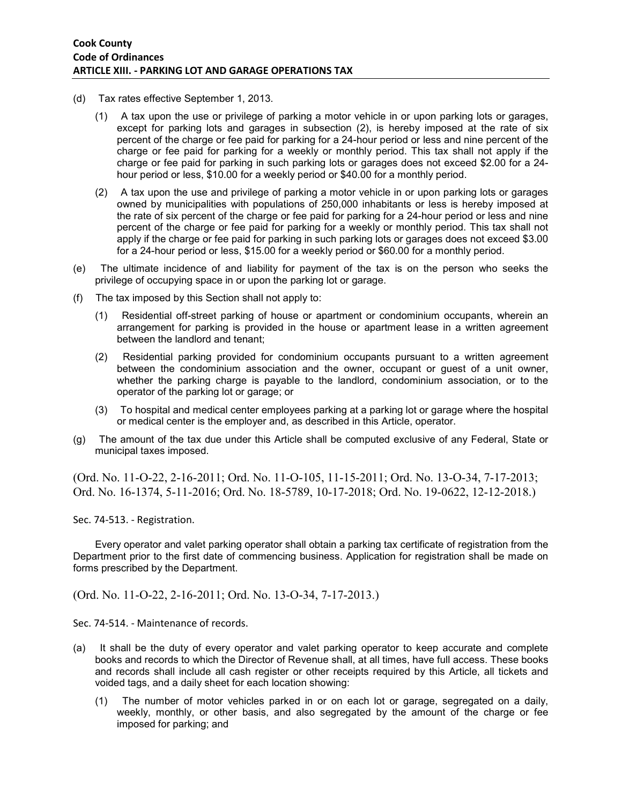- (d) Tax rates effective September 1, 2013.
	- (1) A tax upon the use or privilege of parking a motor vehicle in or upon parking lots or garages, except for parking lots and garages in subsection (2), is hereby imposed at the rate of six percent of the charge or fee paid for parking for a 24-hour period or less and nine percent of the charge or fee paid for parking for a weekly or monthly period. This tax shall not apply if the charge or fee paid for parking in such parking lots or garages does not exceed \$2.00 for a 24 hour period or less, \$10.00 for a weekly period or \$40.00 for a monthly period.
	- (2) A tax upon the use and privilege of parking a motor vehicle in or upon parking lots or garages owned by municipalities with populations of 250,000 inhabitants or less is hereby imposed at the rate of six percent of the charge or fee paid for parking for a 24-hour period or less and nine percent of the charge or fee paid for parking for a weekly or monthly period. This tax shall not apply if the charge or fee paid for parking in such parking lots or garages does not exceed \$3.00 for a 24-hour period or less, \$15.00 for a weekly period or \$60.00 for a monthly period.
- (e) The ultimate incidence of and liability for payment of the tax is on the person who seeks the privilege of occupying space in or upon the parking lot or garage.
- (f) The tax imposed by this Section shall not apply to:
	- (1) Residential off-street parking of house or apartment or condominium occupants, wherein an arrangement for parking is provided in the house or apartment lease in a written agreement between the landlord and tenant;
	- (2) Residential parking provided for condominium occupants pursuant to a written agreement between the condominium association and the owner, occupant or guest of a unit owner, whether the parking charge is payable to the landlord, condominium association, or to the operator of the parking lot or garage; or
	- (3) To hospital and medical center employees parking at a parking lot or garage where the hospital or medical center is the employer and, as described in this Article, operator.
- (g) The amount of the tax due under this Article shall be computed exclusive of any Federal, State or municipal taxes imposed.

(Ord. No. 11-O-22, 2-16-2011; Ord. No. 11-O-105, 11-15-2011; Ord. No. 13-O-34, 7-17-2013; Ord. No. 16-1374, 5-11-2016; Ord. No. 18-5789, 10-17-2018; Ord. No. 19-0622, 12-12-2018.)

Sec. 74-513. - Registration.

Every operator and valet parking operator shall obtain a parking tax certificate of registration from the Department prior to the first date of commencing business. Application for registration shall be made on forms prescribed by the Department.

(Ord. No. 11-O-22, 2-16-2011; Ord. No. 13-O-34, 7-17-2013.)

Sec. 74-514. - Maintenance of records.

- (a) It shall be the duty of every operator and valet parking operator to keep accurate and complete books and records to which the Director of Revenue shall, at all times, have full access. These books and records shall include all cash register or other receipts required by this Article, all tickets and voided tags, and a daily sheet for each location showing:
	- (1) The number of motor vehicles parked in or on each lot or garage, segregated on a daily, weekly, monthly, or other basis, and also segregated by the amount of the charge or fee imposed for parking; and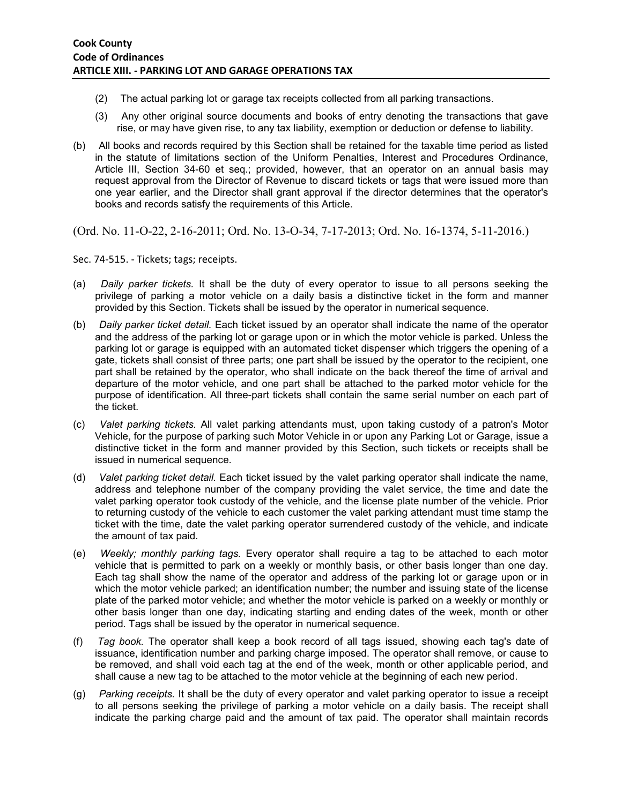- (2) The actual parking lot or garage tax receipts collected from all parking transactions.
- (3) Any other original source documents and books of entry denoting the transactions that gave rise, or may have given rise, to any tax liability, exemption or deduction or defense to liability.
- (b) All books and records required by this Section shall be retained for the taxable time period as listed in the statute of limitations section of the Uniform Penalties, Interest and Procedures Ordinance, Article III, Section 34-60 et seq.; provided, however, that an operator on an annual basis may request approval from the Director of Revenue to discard tickets or tags that were issued more than one year earlier, and the Director shall grant approval if the director determines that the operator's books and records satisfy the requirements of this Article.

(Ord. No. 11-O-22, 2-16-2011; Ord. No. 13-O-34, 7-17-2013; Ord. No. 16-1374, 5-11-2016.)

Sec. 74-515. - Tickets; tags; receipts.

- (a) *Daily parker tickets.* It shall be the duty of every operator to issue to all persons seeking the privilege of parking a motor vehicle on a daily basis a distinctive ticket in the form and manner provided by this Section. Tickets shall be issued by the operator in numerical sequence.
- (b) *Daily parker ticket detail.* Each ticket issued by an operator shall indicate the name of the operator and the address of the parking lot or garage upon or in which the motor vehicle is parked. Unless the parking lot or garage is equipped with an automated ticket dispenser which triggers the opening of a gate, tickets shall consist of three parts; one part shall be issued by the operator to the recipient, one part shall be retained by the operator, who shall indicate on the back thereof the time of arrival and departure of the motor vehicle, and one part shall be attached to the parked motor vehicle for the purpose of identification. All three-part tickets shall contain the same serial number on each part of the ticket.
- (c) *Valet parking tickets.* All valet parking attendants must, upon taking custody of a patron's Motor Vehicle, for the purpose of parking such Motor Vehicle in or upon any Parking Lot or Garage, issue a distinctive ticket in the form and manner provided by this Section, such tickets or receipts shall be issued in numerical sequence.
- (d) *Valet parking ticket detail.* Each ticket issued by the valet parking operator shall indicate the name, address and telephone number of the company providing the valet service, the time and date the valet parking operator took custody of the vehicle, and the license plate number of the vehicle. Prior to returning custody of the vehicle to each customer the valet parking attendant must time stamp the ticket with the time, date the valet parking operator surrendered custody of the vehicle, and indicate the amount of tax paid.
- (e) *Weekly; monthly parking tags.* Every operator shall require a tag to be attached to each motor vehicle that is permitted to park on a weekly or monthly basis, or other basis longer than one day. Each tag shall show the name of the operator and address of the parking lot or garage upon or in which the motor vehicle parked; an identification number; the number and issuing state of the license plate of the parked motor vehicle; and whether the motor vehicle is parked on a weekly or monthly or other basis longer than one day, indicating starting and ending dates of the week, month or other period. Tags shall be issued by the operator in numerical sequence.
- (f) *Tag book.* The operator shall keep a book record of all tags issued, showing each tag's date of issuance, identification number and parking charge imposed. The operator shall remove, or cause to be removed, and shall void each tag at the end of the week, month or other applicable period, and shall cause a new tag to be attached to the motor vehicle at the beginning of each new period.
- (g) *Parking receipts.* It shall be the duty of every operator and valet parking operator to issue a receipt to all persons seeking the privilege of parking a motor vehicle on a daily basis. The receipt shall indicate the parking charge paid and the amount of tax paid. The operator shall maintain records